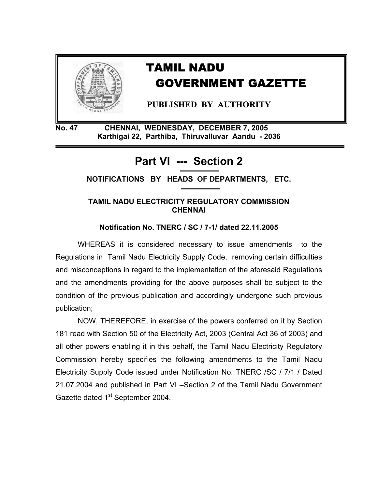

# TAMIL NADU GOVERNMENT GAZETTE

 **PUBLISHED BY AUTHORITY** 

**No. 47 CHENNAI, WEDNESDAY, DECEMBER 7, 2005 Karthigai 22, Parthiba, Thiruvalluvar Aandu - 2036** 

# **Part VI --- Section 2**

**NOTIFICATIONS BY HEADS OF DEPARTMENTS, ETC.** 

## **TAMIL NADU ELECTRICITY REGULATORY COMMISSION CHENNAI**

**Notification No. TNERC / SC / 7-1/ dated 22.11.2005** 

 WHEREAS it is considered necessary to issue amendments to the Regulations in Tamil Nadu Electricity Supply Code, removing certain difficulties and misconceptions in regard to the implementation of the aforesaid Regulations and the amendments providing for the above purposes shall be subject to the condition of the previous publication and accordingly undergone such previous publication;

 NOW, THEREFORE, in exercise of the powers conferred on it by Section 181 read with Section 50 of the Electricity Act, 2003 (Central Act 36 of 2003) and all other powers enabling it in this behalf, the Tamil Nadu Electricity Regulatory Commission hereby specifies the following amendments to the Tamil Nadu Electricity Supply Code issued under Notification No. TNERC /SC / 7/1 / Dated 21.07.2004 and published in Part VI –Section 2 of the Tamil Nadu Government Gazette dated 1<sup>st</sup> September 2004.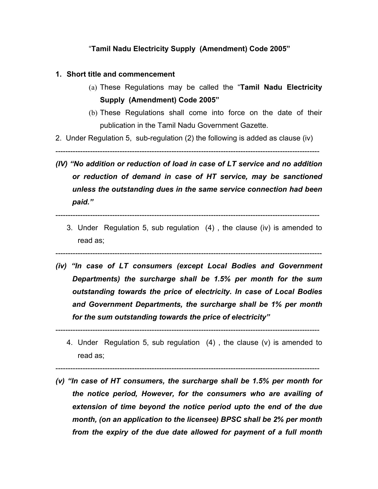### "**Tamil Nadu Electricity Supply (Amendment) Code 2005"**

#### **1. Short title and commencement**

- (a) These Regulations may be called the "**Tamil Nadu Electricity Supply (Amendment) Code 2005"**
- (b) These Regulations shall come into force on the date of their publication in the Tamil Nadu Government Gazette.
- 2. Under Regulation 5, sub-regulation (2) the following is added as clause (iv)

-----------------------------------------------------------------------------------------------------------

*(IV) "No addition or reduction of load in case of LT service and no addition or reduction of demand in case of HT service, may be sanctioned unless the outstanding dues in the same service connection had been paid."* 

-----------------------------------------------------------------------------------------------------------

- 3. Under Regulation 5, sub regulation (4) , the clause (iv) is amended to read as;
- *(iv) "In case of LT consumers (except Local Bodies and Government Departments) the surcharge shall be 1.5% per month for the sum outstanding towards the price of electricity. In case of Local Bodies and Government Departments, the surcharge shall be 1% per month for the sum outstanding towards the price of electricity"*

------------------------------------------------------------------------------------------------------------

-----------------------------------------------------------------------------------------------------------

- 4. Under Regulation 5, sub regulation (4) , the clause (v) is amended to read as;
- -----------------------------------------------------------------------------------------------------------
- *(v) "In case of HT consumers, the surcharge shall be 1.5% per month for the notice period, However, for the consumers who are availing of extension of time beyond the notice period upto the end of the due month, (on an application to the licensee) BPSC shall be 2% per month from the expiry of the due date allowed for payment of a full month*